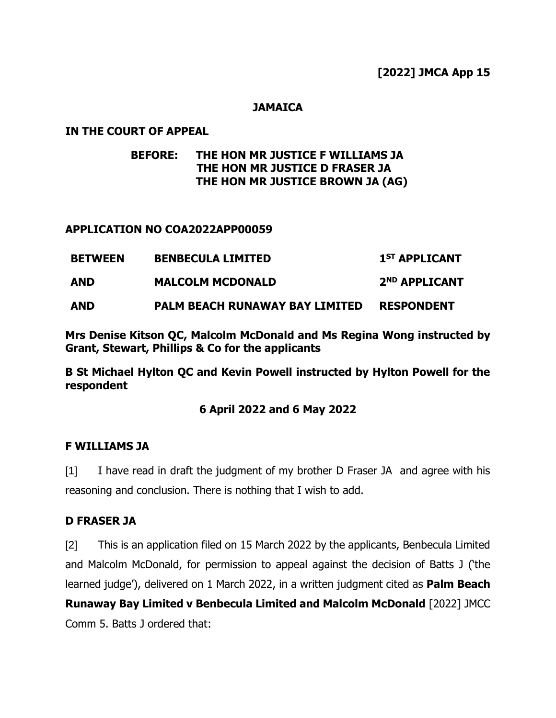#### **JAMAICA**

#### **IN THE COURT OF APPEAL**

# **BEFORE: THE HON MR JUSTICE F WILLIAMS JA THE HON MR JUSTICE D FRASER JA THE HON MR JUSTICE BROWN JA (AG)**

#### **APPLICATION NO COA2022APP00059**

| <b>BETWEEN</b> | <b>BENBECULA LIMITED</b>              | 1 <sup>ST</sup> APPLICANT |
|----------------|---------------------------------------|---------------------------|
| <b>AND</b>     | <b>MALCOLM MCDONALD</b>               | 2 <sup>ND</sup> APPLICANT |
| <b>AND</b>     | <b>PALM BEACH RUNAWAY BAY LIMITED</b> | <b>RESPONDENT</b>         |

**Mrs Denise Kitson QC, Malcolm McDonald and Ms Regina Wong instructed by Grant, Stewart, Phillips & Co for the applicants**

**B St Michael Hylton QC and Kevin Powell instructed by Hylton Powell for the respondent**

#### **6 April 2022 and 6 May 2022**

#### **F WILLIAMS JA**

[1] I have read in draft the judgment of my brother D Fraser JA and agree with his reasoning and conclusion. There is nothing that I wish to add.

#### **D FRASER JA**

[2] This is an application filed on 15 March 2022 by the applicants, Benbecula Limited and Malcolm McDonald, for permission to appeal against the decision of Batts J ('the learned judge'), delivered on 1 March 2022, in a written judgment cited as **Palm Beach Runaway Bay Limited v Benbecula Limited and Malcolm McDonald** [2022] JMCC Comm 5. Batts J ordered that: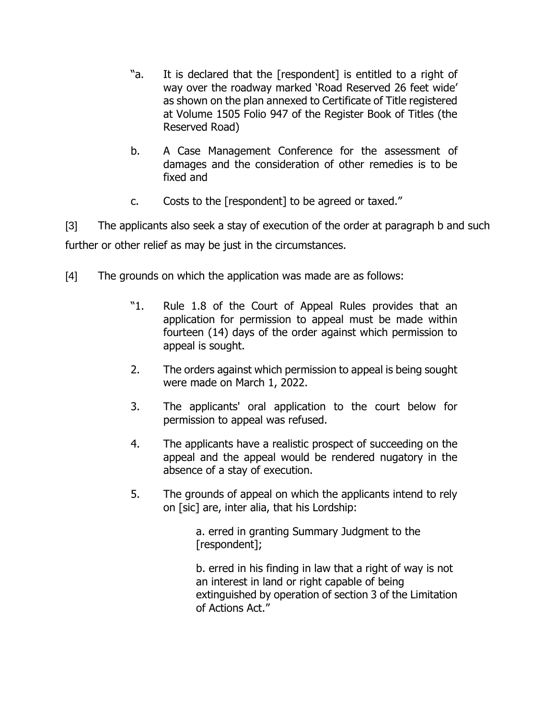- "a. It is declared that the [respondent] is entitled to a right of way over the roadway marked 'Road Reserved 26 feet wide' as shown on the plan annexed to Certificate of Title registered at Volume 1505 Folio 947 of the Register Book of Titles (the Reserved Road)
- b. A Case Management Conference for the assessment of damages and the consideration of other remedies is to be fixed and
- c. Costs to the [respondent] to be agreed or taxed."

[3] The applicants also seek a stay of execution of the order at paragraph b and such further or other relief as may be just in the circumstances.

- [4] The grounds on which the application was made are as follows:
	- "1. Rule 1.8 of the Court of Appeal Rules provides that an application for permission to appeal must be made within fourteen (14) days of the order against which permission to appeal is sought.
	- 2. The orders against which permission to appeal is being sought were made on March 1, 2022.
	- 3. The applicants' oral application to the court below for permission to appeal was refused.
	- 4. The applicants have a realistic prospect of succeeding on the appeal and the appeal would be rendered nugatory in the absence of a stay of execution.
	- 5. The grounds of appeal on which the applicants intend to rely on [sic] are, inter alia, that his Lordship:

a. erred in granting Summary Judgment to the [respondent];

b. erred in his finding in law that a right of way is not an interest in land or right capable of being extinguished by operation of section 3 of the Limitation of Actions Act."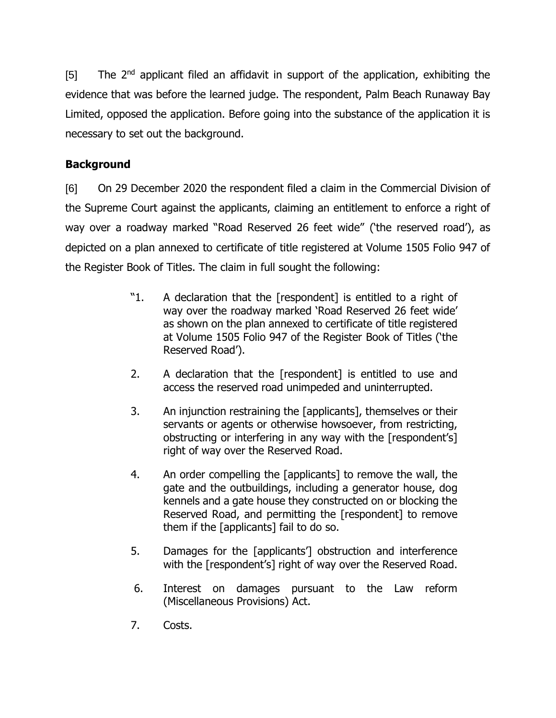[5] The 2<sup>nd</sup> applicant filed an affidavit in support of the application, exhibiting the evidence that was before the learned judge. The respondent, Palm Beach Runaway Bay Limited, opposed the application. Before going into the substance of the application it is necessary to set out the background.

# **Background**

[6] On 29 December 2020 the respondent filed a claim in the Commercial Division of the Supreme Court against the applicants, claiming an entitlement to enforce a right of way over a roadway marked "Road Reserved 26 feet wide" ('the reserved road'), as depicted on a plan annexed to certificate of title registered at Volume 1505 Folio 947 of the Register Book of Titles. The claim in full sought the following:

- "1. A declaration that the [respondent] is entitled to a right of way over the roadway marked 'Road Reserved 26 feet wide' as shown on the plan annexed to certificate of title registered at Volume 1505 Folio 947 of the Register Book of Titles ('the Reserved Road').
- 2. A declaration that the [respondent] is entitled to use and access the reserved road unimpeded and uninterrupted.
- 3. An injunction restraining the [applicants], themselves or their servants or agents or otherwise howsoever, from restricting, obstructing or interfering in any way with the [respondent's] right of way over the Reserved Road.
- 4. An order compelling the [applicants] to remove the wall, the gate and the outbuildings, including a generator house, dog kennels and a gate house they constructed on or blocking the Reserved Road, and permitting the [respondent] to remove them if the [applicants] fail to do so.
- 5. Damages for the [applicants'] obstruction and interference with the [respondent's] right of way over the Reserved Road.
- 6. Interest on damages pursuant to the Law reform (Miscellaneous Provisions) Act.
- 7. Costs.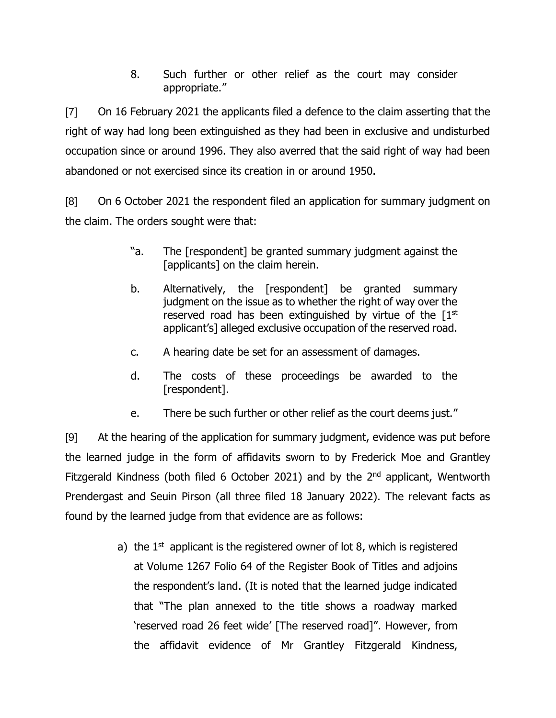8. Such further or other relief as the court may consider appropriate."

[7] On 16 February 2021 the applicants filed a defence to the claim asserting that the right of way had long been extinguished as they had been in exclusive and undisturbed occupation since or around 1996. They also averred that the said right of way had been abandoned or not exercised since its creation in or around 1950.

[8] On 6 October 2021 the respondent filed an application for summary judgment on the claim. The orders sought were that:

- "a. The [respondent] be granted summary judgment against the [applicants] on the claim herein.
- b. Alternatively, the [respondent] be granted summary judgment on the issue as to whether the right of way over the reserved road has been extinguished by virtue of the  $[1<sup>st</sup>]$ applicant's] alleged exclusive occupation of the reserved road.
- c. A hearing date be set for an assessment of damages.
- d. The costs of these proceedings be awarded to the [respondent].
- e. There be such further or other relief as the court deems just."

[9] At the hearing of the application for summary judgment, evidence was put before the learned judge in the form of affidavits sworn to by Frederick Moe and Grantley Fitzgerald Kindness (both filed 6 October 2021) and by the  $2<sup>nd</sup>$  applicant, Wentworth Prendergast and Seuin Pirson (all three filed 18 January 2022). The relevant facts as found by the learned judge from that evidence are as follows:

> a) the  $1<sup>st</sup>$  applicant is the registered owner of lot 8, which is registered at Volume 1267 Folio 64 of the Register Book of Titles and adjoins the respondent's land. (It is noted that the learned judge indicated that "The plan annexed to the title shows a roadway marked 'reserved road 26 feet wide' [The reserved road]". However, from the affidavit evidence of Mr Grantley Fitzgerald Kindness,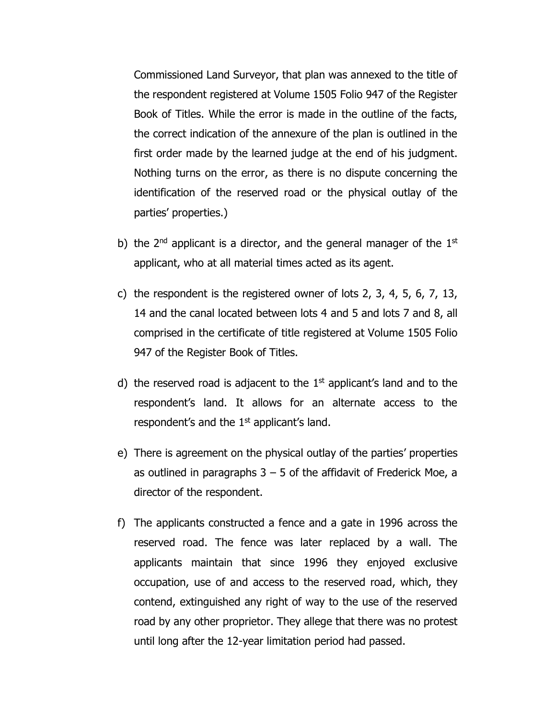Commissioned Land Surveyor, that plan was annexed to the title of the respondent registered at Volume 1505 Folio 947 of the Register Book of Titles. While the error is made in the outline of the facts, the correct indication of the annexure of the plan is outlined in the first order made by the learned judge at the end of his judgment. Nothing turns on the error, as there is no dispute concerning the identification of the reserved road or the physical outlay of the parties' properties.)

- b) the  $2^{nd}$  applicant is a director, and the general manager of the  $1^{st}$ applicant, who at all material times acted as its agent.
- c) the respondent is the registered owner of lots 2, 3, 4, 5, 6, 7, 13, 14 and the canal located between lots 4 and 5 and lots 7 and 8, all comprised in the certificate of title registered at Volume 1505 Folio 947 of the Register Book of Titles.
- d) the reserved road is adjacent to the  $1<sup>st</sup>$  applicant's land and to the respondent's land. It allows for an alternate access to the respondent's and the  $1<sup>st</sup>$  applicant's land.
- e) There is agreement on the physical outlay of the parties' properties as outlined in paragraphs  $3 - 5$  of the affidavit of Frederick Moe, a director of the respondent.
- f) The applicants constructed a fence and a gate in 1996 across the reserved road. The fence was later replaced by a wall. The applicants maintain that since 1996 they enjoyed exclusive occupation, use of and access to the reserved road, which, they contend, extinguished any right of way to the use of the reserved road by any other proprietor. They allege that there was no protest until long after the 12-year limitation period had passed.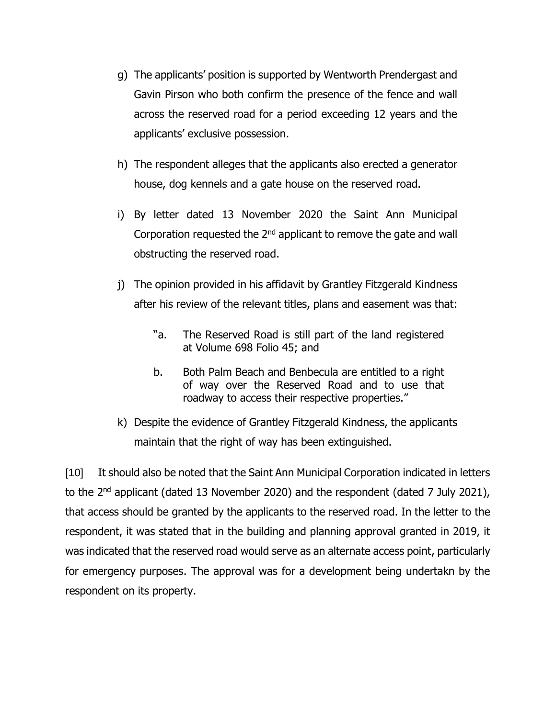- g) The applicants' position is supported by Wentworth Prendergast and Gavin Pirson who both confirm the presence of the fence and wall across the reserved road for a period exceeding 12 years and the applicants' exclusive possession.
- h) The respondent alleges that the applicants also erected a generator house, dog kennels and a gate house on the reserved road.
- i) By letter dated 13 November 2020 the Saint Ann Municipal Corporation requested the  $2<sup>nd</sup>$  applicant to remove the gate and wall obstructing the reserved road.
- j) The opinion provided in his affidavit by Grantley Fitzgerald Kindness after his review of the relevant titles, plans and easement was that:
	- "a. The Reserved Road is still part of the land registered at Volume 698 Folio 45; and
	- b. Both Palm Beach and Benbecula are entitled to a right of way over the Reserved Road and to use that roadway to access their respective properties."
- k) Despite the evidence of Grantley Fitzgerald Kindness, the applicants maintain that the right of way has been extinguished.

[10] It should also be noted that the Saint Ann Municipal Corporation indicated in letters to the 2<sup>nd</sup> applicant (dated 13 November 2020) and the respondent (dated 7 July 2021), that access should be granted by the applicants to the reserved road. In the letter to the respondent, it was stated that in the building and planning approval granted in 2019, it was indicated that the reserved road would serve as an alternate access point, particularly for emergency purposes. The approval was for a development being undertakn by the respondent on its property.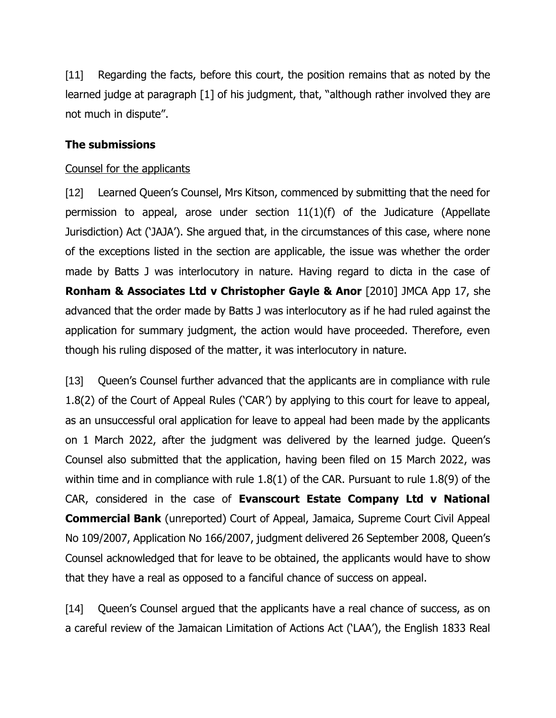[11] Regarding the facts, before this court, the position remains that as noted by the learned judge at paragraph [1] of his judgment, that, "although rather involved they are not much in dispute".

# **The submissions**

#### Counsel for the applicants

[12] Learned Queen's Counsel, Mrs Kitson, commenced by submitting that the need for permission to appeal, arose under section 11(1)(f) of the Judicature (Appellate Jurisdiction) Act ('JAJA'). She argued that, in the circumstances of this case, where none of the exceptions listed in the section are applicable, the issue was whether the order made by Batts J was interlocutory in nature. Having regard to dicta in the case of **Ronham & Associates Ltd v Christopher Gayle & Anor** [2010] JMCA App 17, she advanced that the order made by Batts J was interlocutory as if he had ruled against the application for summary judgment, the action would have proceeded. Therefore, even though his ruling disposed of the matter, it was interlocutory in nature.

[13] Queen's Counsel further advanced that the applicants are in compliance with rule 1.8(2) of the Court of Appeal Rules ('CAR') by applying to this court for leave to appeal, as an unsuccessful oral application for leave to appeal had been made by the applicants on 1 March 2022, after the judgment was delivered by the learned judge. Queen's Counsel also submitted that the application, having been filed on 15 March 2022, was within time and in compliance with rule 1.8(1) of the CAR. Pursuant to rule 1.8(9) of the CAR, considered in the case of **Evanscourt Estate Company Ltd v National Commercial Bank** (unreported) Court of Appeal, Jamaica, Supreme Court Civil Appeal No 109/2007, Application No 166/2007, judgment delivered 26 September 2008, Queen's Counsel acknowledged that for leave to be obtained, the applicants would have to show that they have a real as opposed to a fanciful chance of success on appeal.

[14] Queen's Counsel argued that the applicants have a real chance of success, as on a careful review of the Jamaican Limitation of Actions Act ('LAA'), the English 1833 Real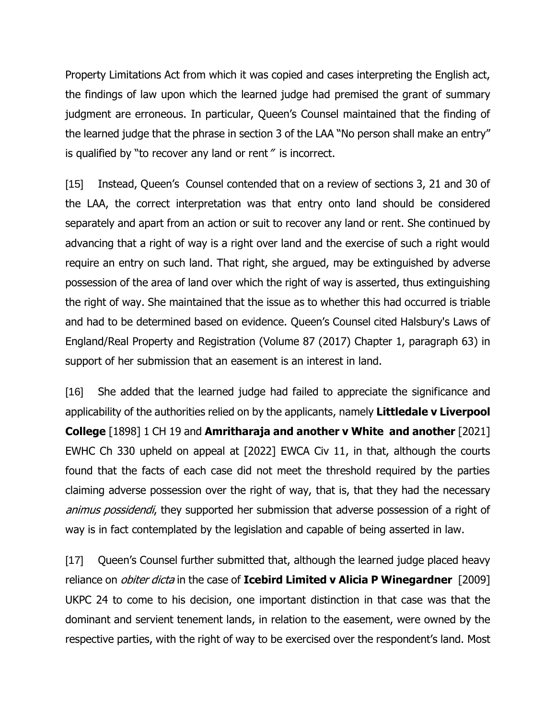Property Limitations Act from which it was copied and cases interpreting the English act, the findings of law upon which the learned judge had premised the grant of summary judgment are erroneous. In particular, Queen's Counsel maintained that the finding of the learned judge that the phrase in section 3 of the LAA "No person shall make an entry" is qualified by "to recover any land or rent" is incorrect.

[15] Instead, Queen's Counsel contended that on a review of sections 3, 21 and 30 of the LAA, the correct interpretation was that entry onto land should be considered separately and apart from an action or suit to recover any land or rent. She continued by advancing that a right of way is a right over land and the exercise of such a right would require an entry on such land. That right, she argued, may be extinguished by adverse possession of the area of land over which the right of way is asserted, thus extinguishing the right of way. She maintained that the issue as to whether this had occurred is triable and had to be determined based on evidence. Queen's Counsel cited Halsbury's Laws of England/Real Property and Registration (Volume 87 (2017) Chapter 1, paragraph 63) in support of her submission that an easement is an interest in land.

[16] She added that the learned judge had failed to appreciate the significance and applicability of the authorities relied on by the applicants, namely **Littledale v Liverpool College** [1898] 1 CH 19 and **Amritharaja and another v White and another** [2021] EWHC Ch 330 upheld on appeal at [2022] EWCA Civ 11, in that, although the courts found that the facts of each case did not meet the threshold required by the parties claiming adverse possession over the right of way, that is, that they had the necessary animus possidendi, they supported her submission that adverse possession of a right of way is in fact contemplated by the legislation and capable of being asserted in law.

[17] Queen's Counsel further submitted that, although the learned judge placed heavy reliance on obiter dicta in the case of **Icebird Limited v Alicia P Winegardner** [2009] UKPC 24 to come to his decision, one important distinction in that case was that the dominant and servient tenement lands, in relation to the easement, were owned by the respective parties, with the right of way to be exercised over the respondent's land. Most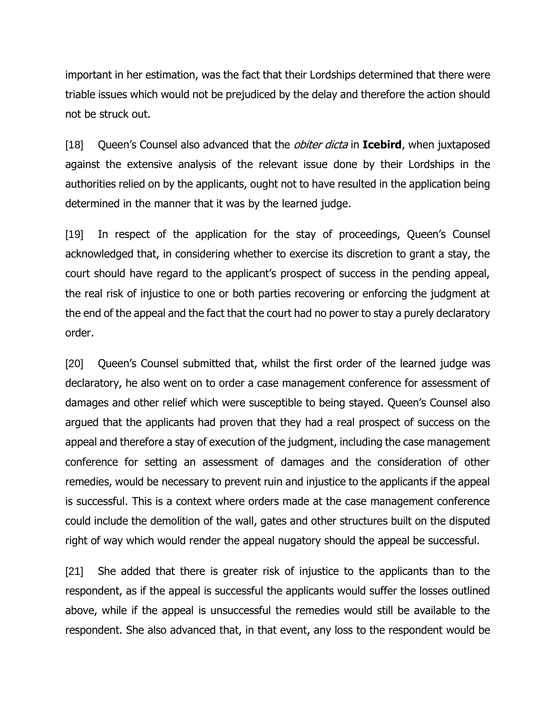important in her estimation, was the fact that their Lordships determined that there were triable issues which would not be prejudiced by the delay and therefore the action should not be struck out.

[18] Queen's Counsel also advanced that the obiter dicta in **Icebird**, when juxtaposed against the extensive analysis of the relevant issue done by their Lordships in the authorities relied on by the applicants, ought not to have resulted in the application being determined in the manner that it was by the learned judge.

[19] In respect of the application for the stay of proceedings, Queen's Counsel acknowledged that, in considering whether to exercise its discretion to grant a stay, the court should have regard to the applicant's prospect of success in the pending appeal, the real risk of injustice to one or both parties recovering or enforcing the judgment at the end of the appeal and the fact that the court had no power to stay a purely declaratory order.

[20] Queen's Counsel submitted that, whilst the first order of the learned judge was declaratory, he also went on to order a case management conference for assessment of damages and other relief which were susceptible to being stayed. Queen's Counsel also argued that the applicants had proven that they had a real prospect of success on the appeal and therefore a stay of execution of the judgment, including the case management conference for setting an assessment of damages and the consideration of other remedies, would be necessary to prevent ruin and injustice to the applicants if the appeal is successful. This is a context where orders made at the case management conference could include the demolition of the wall, gates and other structures built on the disputed right of way which would render the appeal nugatory should the appeal be successful.

[21] She added that there is greater risk of injustice to the applicants than to the respondent, as if the appeal is successful the applicants would suffer the losses outlined above, while if the appeal is unsuccessful the remedies would still be available to the respondent. She also advanced that, in that event, any loss to the respondent would be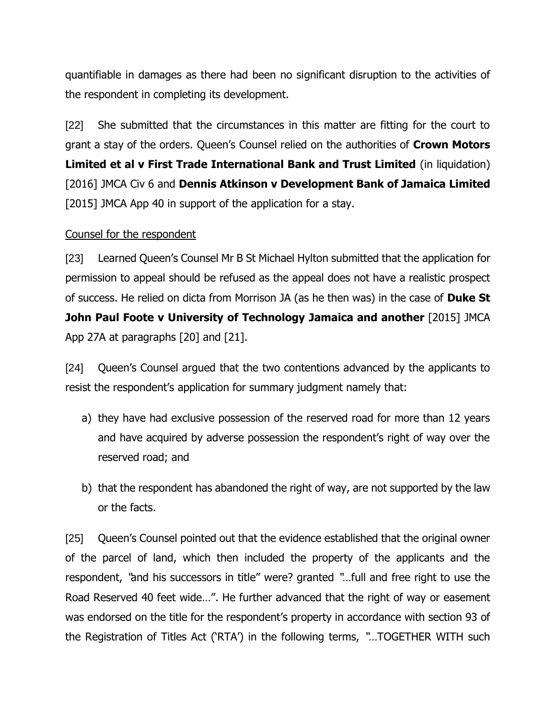quantifiable in damages as there had been no significant disruption to the activities of the respondent in completing its development.

[22] She submitted that the circumstances in this matter are fitting for the court to grant a stay of the orders. Queen's Counsel relied on the authorities of **Crown Motors Limited et al v First Trade International Bank and Trust Limited** (in liquidation) [2016] JMCA Civ 6 and **Dennis Atkinson v Development Bank of Jamaica Limited**  [2015] JMCA App 40 in support of the application for a stay.

#### Counsel for the respondent

[23] Learned Queen's Counsel Mr B St Michael Hylton submitted that the application for permission to appeal should be refused as the appeal does not have a realistic prospect of success. He relied on dicta from Morrison JA (as he then was) in the case of **Duke St John Paul Foote v University of Technology Jamaica and another** [2015] JMCA App 27A at paragraphs [20] and [21].

[24] Queen's Counsel argued that the two contentions advanced by the applicants to resist the respondent's application for summary judgment namely that:

- a) they have had exclusive possession of the reserved road for more than 12 years and have acquired by adverse possession the respondent's right of way over the reserved road; and
- b) that the respondent has abandoned the right of way, are not supported by the law or the facts.

[25] Queen's Counsel pointed out that the evidence established that the original owner of the parcel of land, which then included the property of the applicants and the respondent, "and his successors in title" were? granted "…full and free right to use the Road Reserved 40 feet wide…". He further advanced that the right of way or easement was endorsed on the title for the respondent's property in accordance with section 93 of the Registration of Titles Act ('RTA') in the following terms, "…TOGETHER WITH such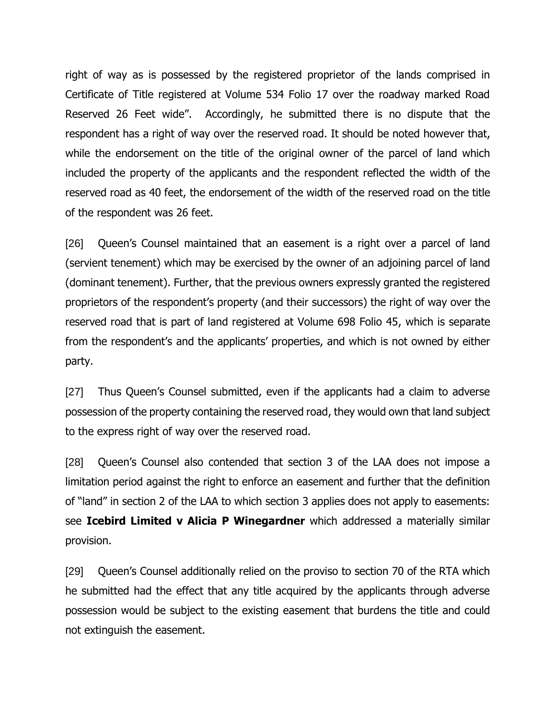right of way as is possessed by the registered proprietor of the lands comprised in Certificate of Title registered at Volume 534 Folio 17 over the roadway marked Road Reserved 26 Feet wide". Accordingly, he submitted there is no dispute that the respondent has a right of way over the reserved road. It should be noted however that, while the endorsement on the title of the original owner of the parcel of land which included the property of the applicants and the respondent reflected the width of the reserved road as 40 feet, the endorsement of the width of the reserved road on the title of the respondent was 26 feet.

[26] Queen's Counsel maintained that an easement is a right over a parcel of land (servient tenement) which may be exercised by the owner of an adjoining parcel of land (dominant tenement). Further, that the previous owners expressly granted the registered proprietors of the respondent's property (and their successors) the right of way over the reserved road that is part of land registered at Volume 698 Folio 45, which is separate from the respondent's and the applicants' properties, and which is not owned by either party.

[27] Thus Queen's Counsel submitted, even if the applicants had a claim to adverse possession of the property containing the reserved road, they would own that land subject to the express right of way over the reserved road.

[28] Queen's Counsel also contended that section 3 of the LAA does not impose a limitation period against the right to enforce an easement and further that the definition of "land" in section 2 of the LAA to which section 3 applies does not apply to easements: see **Icebird Limited v Alicia P Winegardner** which addressed a materially similar provision.

[29] Queen's Counsel additionally relied on the proviso to section 70 of the RTA which he submitted had the effect that any title acquired by the applicants through adverse possession would be subject to the existing easement that burdens the title and could not extinguish the easement.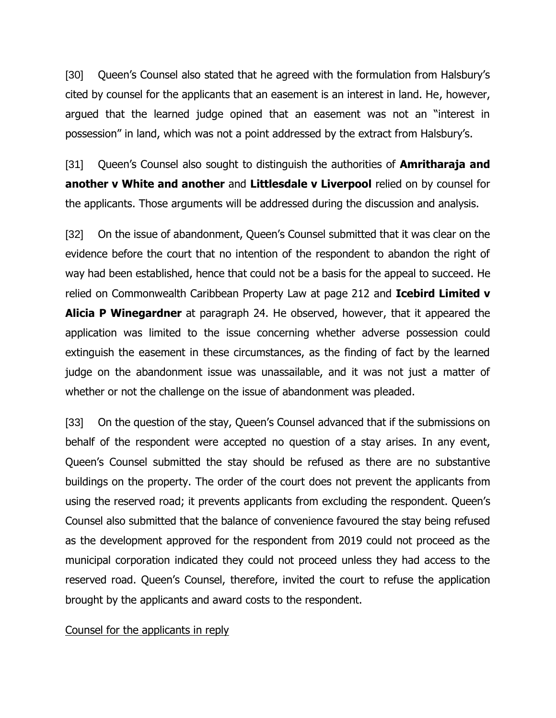[30] Queen's Counsel also stated that he agreed with the formulation from Halsbury's cited by counsel for the applicants that an easement is an interest in land. He, however, argued that the learned judge opined that an easement was not an "interest in possession" in land, which was not a point addressed by the extract from Halsbury's.

[31] Queen's Counsel also sought to distinguish the authorities of **Amritharaja and another v White and another** and **Littlesdale v Liverpool** relied on by counsel for the applicants. Those arguments will be addressed during the discussion and analysis.

[32] On the issue of abandonment, Queen's Counsel submitted that it was clear on the evidence before the court that no intention of the respondent to abandon the right of way had been established, hence that could not be a basis for the appeal to succeed. He relied on Commonwealth Caribbean Property Law at page 212 and **Icebird Limited v Alicia P Winegardner** at paragraph 24. He observed, however, that it appeared the application was limited to the issue concerning whether adverse possession could extinguish the easement in these circumstances, as the finding of fact by the learned judge on the abandonment issue was unassailable, and it was not just a matter of whether or not the challenge on the issue of abandonment was pleaded.

[33] On the question of the stay, Queen's Counsel advanced that if the submissions on behalf of the respondent were accepted no question of a stay arises. In any event, Queen's Counsel submitted the stay should be refused as there are no substantive buildings on the property. The order of the court does not prevent the applicants from using the reserved road; it prevents applicants from excluding the respondent. Queen's Counsel also submitted that the balance of convenience favoured the stay being refused as the development approved for the respondent from 2019 could not proceed as the municipal corporation indicated they could not proceed unless they had access to the reserved road. Queen's Counsel, therefore, invited the court to refuse the application brought by the applicants and award costs to the respondent.

#### Counsel for the applicants in reply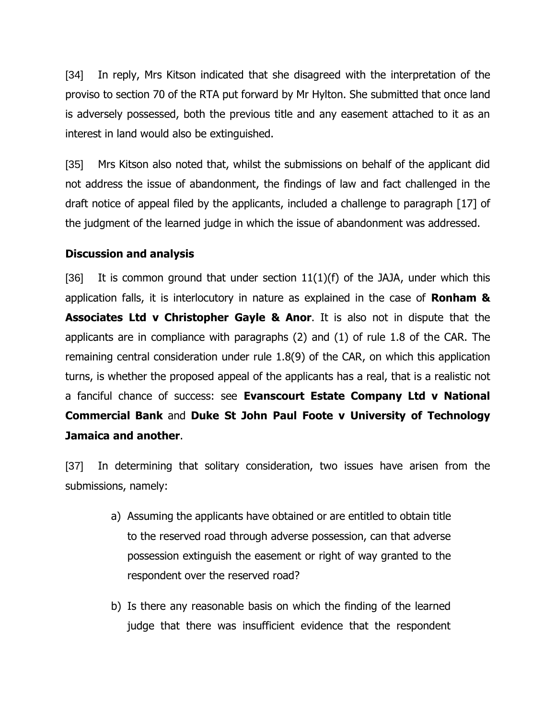[34] In reply, Mrs Kitson indicated that she disagreed with the interpretation of the proviso to section 70 of the RTA put forward by Mr Hylton. She submitted that once land is adversely possessed, both the previous title and any easement attached to it as an interest in land would also be extinguished.

[35] Mrs Kitson also noted that, whilst the submissions on behalf of the applicant did not address the issue of abandonment, the findings of law and fact challenged in the draft notice of appeal filed by the applicants, included a challenge to paragraph [17] of the judgment of the learned judge in which the issue of abandonment was addressed.

### **Discussion and analysis**

[36] It is common ground that under section  $11(1)(f)$  of the JAJA, under which this application falls, it is interlocutory in nature as explained in the case of **Ronham & Associates Ltd v Christopher Gayle & Anor**. It is also not in dispute that the applicants are in compliance with paragraphs (2) and (1) of rule 1.8 of the CAR. The remaining central consideration under rule 1.8(9) of the CAR, on which this application turns, is whether the proposed appeal of the applicants has a real, that is a realistic not a fanciful chance of success: see **Evanscourt Estate Company Ltd v National Commercial Bank** and **Duke St John Paul Foote v University of Technology Jamaica and another**.

[37] In determining that solitary consideration, two issues have arisen from the submissions, namely:

- a) Assuming the applicants have obtained or are entitled to obtain title to the reserved road through adverse possession, can that adverse possession extinguish the easement or right of way granted to the respondent over the reserved road?
- b) Is there any reasonable basis on which the finding of the learned judge that there was insufficient evidence that the respondent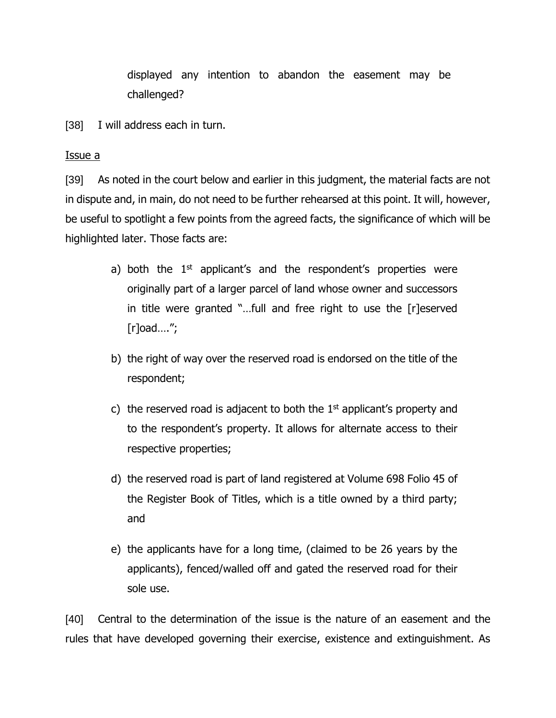displayed any intention to abandon the easement may be challenged?

[38] I will address each in turn.

#### Issue a

[39] As noted in the court below and earlier in this judgment, the material facts are not in dispute and, in main, do not need to be further rehearsed at this point. It will, however, be useful to spotlight a few points from the agreed facts, the significance of which will be highlighted later. Those facts are:

- a) both the 1<sup>st</sup> applicant's and the respondent's properties were originally part of a larger parcel of land whose owner and successors in title were granted "…full and free right to use the [r]eserved [r]oad….";
- b) the right of way over the reserved road is endorsed on the title of the respondent;
- c) the reserved road is adjacent to both the  $1<sup>st</sup>$  applicant's property and to the respondent's property. It allows for alternate access to their respective properties;
- d) the reserved road is part of land registered at Volume 698 Folio 45 of the Register Book of Titles, which is a title owned by a third party; and
- e) the applicants have for a long time, (claimed to be 26 years by the applicants), fenced/walled off and gated the reserved road for their sole use.

[40] Central to the determination of the issue is the nature of an easement and the rules that have developed governing their exercise, existence and extinguishment. As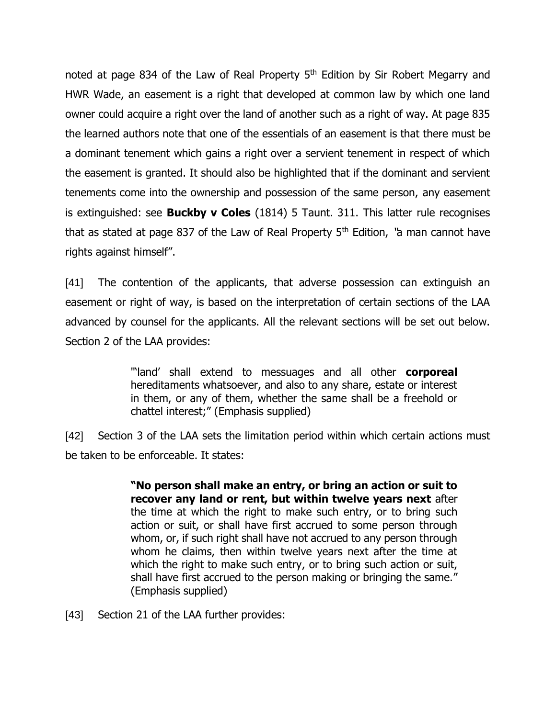noted at page 834 of the Law of Real Property 5<sup>th</sup> Edition by Sir Robert Megarry and HWR Wade, an easement is a right that developed at common law by which one land owner could acquire a right over the land of another such as a right of way. At page 835 the learned authors note that one of the essentials of an easement is that there must be a dominant tenement which gains a right over a servient tenement in respect of which the easement is granted. It should also be highlighted that if the dominant and servient tenements come into the ownership and possession of the same person, any easement is extinguished: see **Buckby v Coles** (1814) 5 Taunt. 311. This latter rule recognises that as stated at page 837 of the Law of Real Property  $5<sup>th</sup>$  Edition, "a man cannot have rights against himself".

[41] The contention of the applicants, that adverse possession can extinguish an easement or right of way, is based on the interpretation of certain sections of the LAA advanced by counsel for the applicants. All the relevant sections will be set out below. Section 2 of the LAA provides:

> "'land' shall extend to messuages and all other **corporeal** hereditaments whatsoever, and also to any share, estate or interest in them, or any of them, whether the same shall be a freehold or chattel interest;" (Emphasis supplied)

[42] Section 3 of the LAA sets the limitation period within which certain actions must be taken to be enforceable. It states:

> **"No person shall make an entry, or bring an action or suit to recover any land or rent, but within twelve years next** after the time at which the right to make such entry, or to bring such action or suit, or shall have first accrued to some person through whom, or, if such right shall have not accrued to any person through whom he claims, then within twelve years next after the time at which the right to make such entry, or to bring such action or suit, shall have first accrued to the person making or bringing the same." (Emphasis supplied)

[43] Section 21 of the LAA further provides: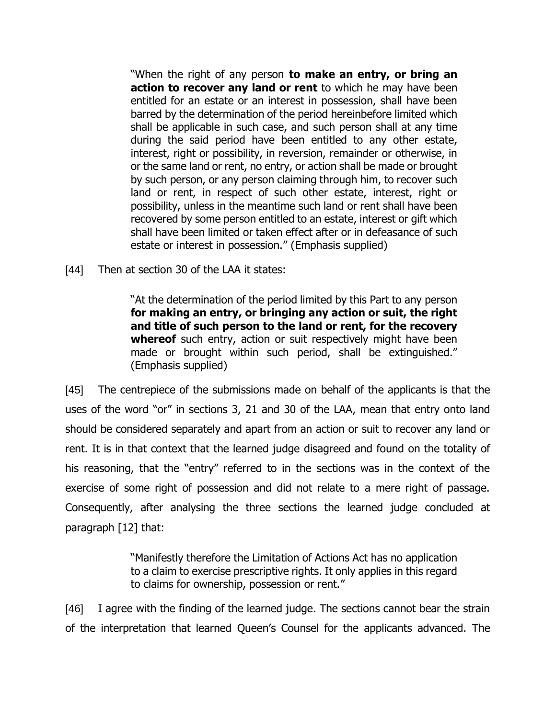"When the right of any person **to make an entry, or bring an action to recover any land or rent** to which he may have been entitled for an estate or an interest in possession, shall have been barred by the determination of the period hereinbefore limited which shall be applicable in such case, and such person shall at any time during the said period have been entitled to any other estate, interest, right or possibility, in reversion, remainder or otherwise, in or the same land or rent, no entry, or action shall be made or brought by such person, or any person claiming through him, to recover such land or rent, in respect of such other estate, interest, right or possibility, unless in the meantime such land or rent shall have been recovered by some person entitled to an estate, interest or gift which shall have been limited or taken effect after or in defeasance of such estate or interest in possession." (Emphasis supplied)

[44] Then at section 30 of the LAA it states:

"At the determination of the period limited by this Part to any person **for making an entry, or bringing any action or suit, the right and title of such person to the land or rent, for the recovery whereof** such entry, action or suit respectively might have been made or brought within such period, shall be extinguished." (Emphasis supplied)

[45] The centrepiece of the submissions made on behalf of the applicants is that the uses of the word "or" in sections 3, 21 and 30 of the LAA, mean that entry onto land should be considered separately and apart from an action or suit to recover any land or rent. It is in that context that the learned judge disagreed and found on the totality of his reasoning, that the "entry" referred to in the sections was in the context of the exercise of some right of possession and did not relate to a mere right of passage. Consequently, after analysing the three sections the learned judge concluded at paragraph [12] that:

> "Manifestly therefore the Limitation of Actions Act has no application to a claim to exercise prescriptive rights. It only applies in this regard to claims for ownership, possession or rent."

[46] I agree with the finding of the learned judge. The sections cannot bear the strain of the interpretation that learned Queen's Counsel for the applicants advanced. The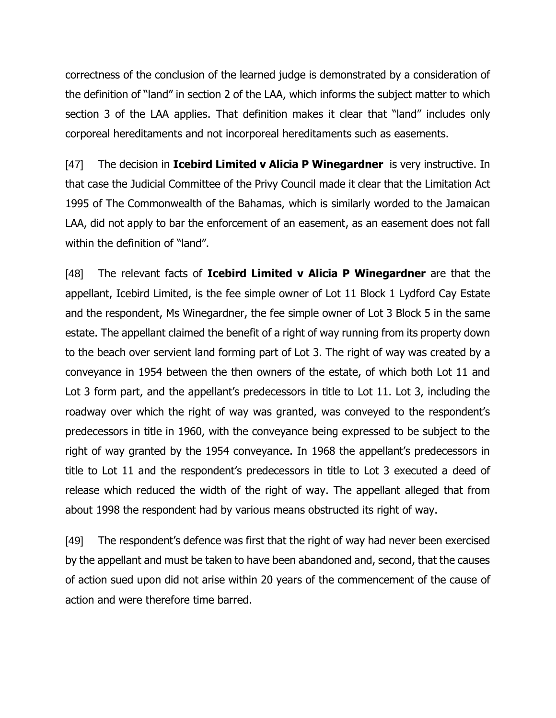correctness of the conclusion of the learned judge is demonstrated by a consideration of the definition of "land" in section 2 of the LAA, which informs the subject matter to which section 3 of the LAA applies. That definition makes it clear that "land" includes only corporeal hereditaments and not incorporeal hereditaments such as easements.

[47] The decision in **Icebird Limited v Alicia P Winegardner** is very instructive. In that case the Judicial Committee of the Privy Council made it clear that the Limitation Act 1995 of The Commonwealth of the Bahamas, which is similarly worded to the Jamaican LAA, did not apply to bar the enforcement of an easement, as an easement does not fall within the definition of "land".

[48] The relevant facts of **Icebird Limited v Alicia P Winegardner** are that the appellant, Icebird Limited, is the fee simple owner of Lot 11 Block 1 Lydford Cay Estate and the respondent, Ms Winegardner, the fee simple owner of Lot 3 Block 5 in the same estate. The appellant claimed the benefit of a right of way running from its property down to the beach over servient land forming part of Lot 3. The right of way was created by a conveyance in 1954 between the then owners of the estate, of which both Lot 11 and Lot 3 form part, and the appellant's predecessors in title to Lot 11. Lot 3, including the roadway over which the right of way was granted, was conveyed to the respondent's predecessors in title in 1960, with the conveyance being expressed to be subject to the right of way granted by the 1954 conveyance. In 1968 the appellant's predecessors in title to Lot 11 and the respondent's predecessors in title to Lot 3 executed a deed of release which reduced the width of the right of way. The appellant alleged that from about 1998 the respondent had by various means obstructed its right of way.

[49] The respondent's defence was first that the right of way had never been exercised by the appellant and must be taken to have been abandoned and, second, that the causes of action sued upon did not arise within 20 years of the commencement of the cause of action and were therefore time barred.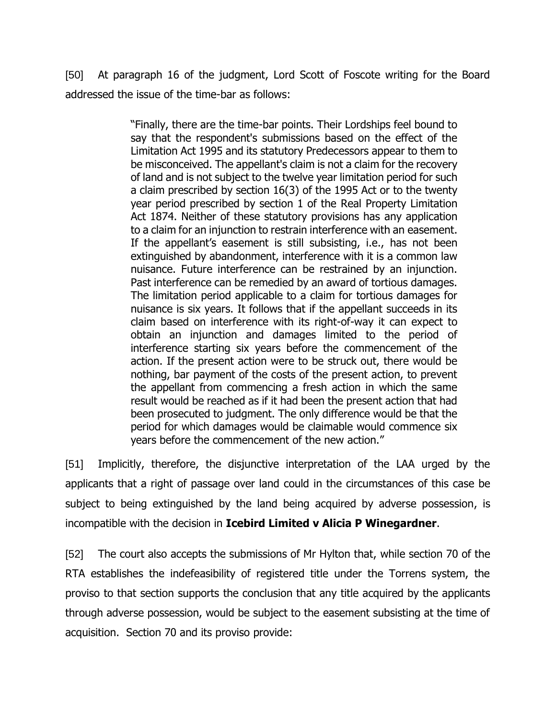[50] At paragraph 16 of the judgment, Lord Scott of Foscote writing for the Board addressed the issue of the time-bar as follows:

> "Finally, there are the time-bar points. Their Lordships feel bound to say that the respondent's submissions based on the effect of the Limitation Act 1995 and its statutory Predecessors appear to them to be misconceived. The appellant's claim is not a claim for the recovery of land and is not subject to the twelve year limitation period for such a claim prescribed by section 16(3) of the 1995 Act or to the twenty year period prescribed by section 1 of the Real Property Limitation Act 1874. Neither of these statutory provisions has any application to a claim for an injunction to restrain interference with an easement. If the appellant's easement is still subsisting, i.e., has not been extinguished by abandonment, interference with it is a common law nuisance. Future interference can be restrained by an injunction. Past interference can be remedied by an award of tortious damages. The limitation period applicable to a claim for tortious damages for nuisance is six years. It follows that if the appellant succeeds in its claim based on interference with its right-of-way it can expect to obtain an injunction and damages limited to the period of interference starting six years before the commencement of the action. If the present action were to be struck out, there would be nothing, bar payment of the costs of the present action, to prevent the appellant from commencing a fresh action in which the same result would be reached as if it had been the present action that had been prosecuted to judgment. The only difference would be that the period for which damages would be claimable would commence six years before the commencement of the new action."

[51] Implicitly, therefore, the disjunctive interpretation of the LAA urged by the applicants that a right of passage over land could in the circumstances of this case be subject to being extinguished by the land being acquired by adverse possession, is incompatible with the decision in **Icebird Limited v Alicia P Winegardner**.

[52] The court also accepts the submissions of Mr Hylton that, while section 70 of the RTA establishes the indefeasibility of registered title under the Torrens system, the proviso to that section supports the conclusion that any title acquired by the applicants through adverse possession, would be subject to the easement subsisting at the time of acquisition. Section 70 and its proviso provide: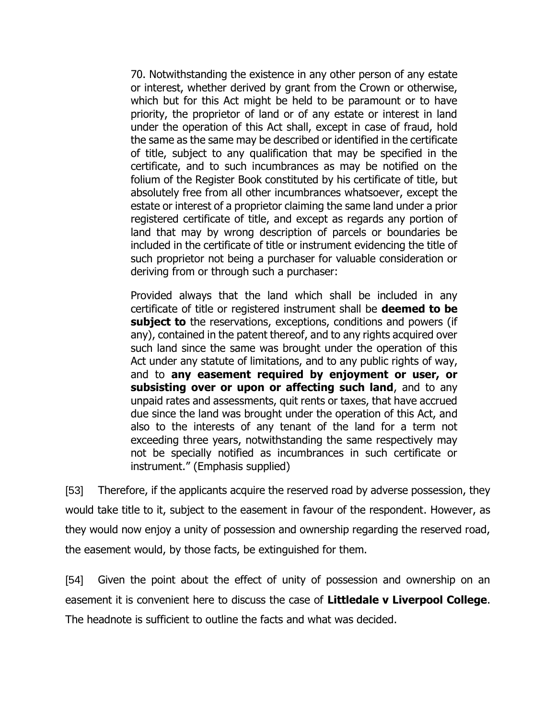70. Notwithstanding the existence in any other person of any estate or interest, whether derived by grant from the Crown or otherwise, which but for this Act might be held to be paramount or to have priority, the proprietor of land or of any estate or interest in land under the operation of this Act shall, except in case of fraud, hold the same as the same may be described or identified in the certificate of title, subject to any qualification that may be specified in the certificate, and to such incumbrances as may be notified on the folium of the Register Book constituted by his certificate of title, but absolutely free from all other incumbrances whatsoever, except the estate or interest of a proprietor claiming the same land under a prior registered certificate of title, and except as regards any portion of land that may by wrong description of parcels or boundaries be included in the certificate of title or instrument evidencing the title of such proprietor not being a purchaser for valuable consideration or deriving from or through such a purchaser:

Provided always that the land which shall be included in any certificate of title or registered instrument shall be **deemed to be subject to** the reservations, exceptions, conditions and powers (if any), contained in the patent thereof, and to any rights acquired over such land since the same was brought under the operation of this Act under any statute of limitations, and to any public rights of way, and to **any easement required by enjoyment or user, or subsisting over or upon or affecting such land**, and to any unpaid rates and assessments, quit rents or taxes, that have accrued due since the land was brought under the operation of this Act, and also to the interests of any tenant of the land for a term not exceeding three years, notwithstanding the same respectively may not be specially notified as incumbrances in such certificate or instrument." (Emphasis supplied)

[53] Therefore, if the applicants acquire the reserved road by adverse possession, they would take title to it, subject to the easement in favour of the respondent. However, as they would now enjoy a unity of possession and ownership regarding the reserved road, the easement would, by those facts, be extinguished for them.

[54] Given the point about the effect of unity of possession and ownership on an easement it is convenient here to discuss the case of **Littledale v Liverpool College**. The headnote is sufficient to outline the facts and what was decided.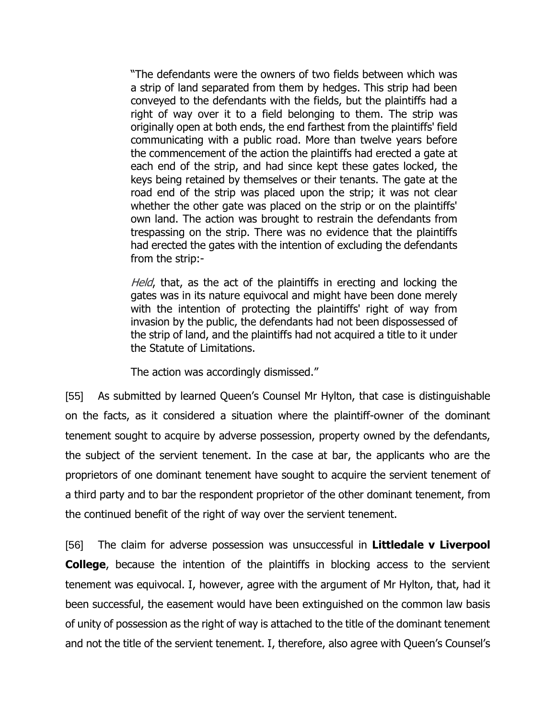"The defendants were the owners of two fields between which was a strip of land separated from them by hedges. This strip had been conveyed to the defendants with the fields, but the plaintiffs had a right of way over it to a field belonging to them. The strip was originally open at both ends, the end farthest from the plaintiffs' field communicating with a public road. More than twelve years before the commencement of the action the plaintiffs had erected a gate at each end of the strip, and had since kept these gates locked, the keys being retained by themselves or their tenants. The gate at the road end of the strip was placed upon the strip; it was not clear whether the other gate was placed on the strip or on the plaintiffs' own land. The action was brought to restrain the defendants from trespassing on the strip. There was no evidence that the plaintiffs had erected the gates with the intention of excluding the defendants from the strip:-

Held, that, as the act of the plaintiffs in erecting and locking the gates was in its nature equivocal and might have been done merely with the intention of protecting the plaintiffs' right of way from invasion by the public, the defendants had not been dispossessed of the strip of land, and the plaintiffs had not acquired a title to it under the Statute of Limitations.

The action was accordingly dismissed."

[55] As submitted by learned Queen's Counsel Mr Hylton, that case is distinguishable on the facts, as it considered a situation where the plaintiff-owner of the dominant tenement sought to acquire by adverse possession, property owned by the defendants, the subject of the servient tenement. In the case at bar, the applicants who are the proprietors of one dominant tenement have sought to acquire the servient tenement of a third party and to bar the respondent proprietor of the other dominant tenement, from the continued benefit of the right of way over the servient tenement.

[56] The claim for adverse possession was unsuccessful in **Littledale v Liverpool College**, because the intention of the plaintiffs in blocking access to the servient tenement was equivocal. I, however, agree with the argument of Mr Hylton, that, had it been successful, the easement would have been extinguished on the common law basis of unity of possession as the right of way is attached to the title of the dominant tenement and not the title of the servient tenement. I, therefore, also agree with Queen's Counsel's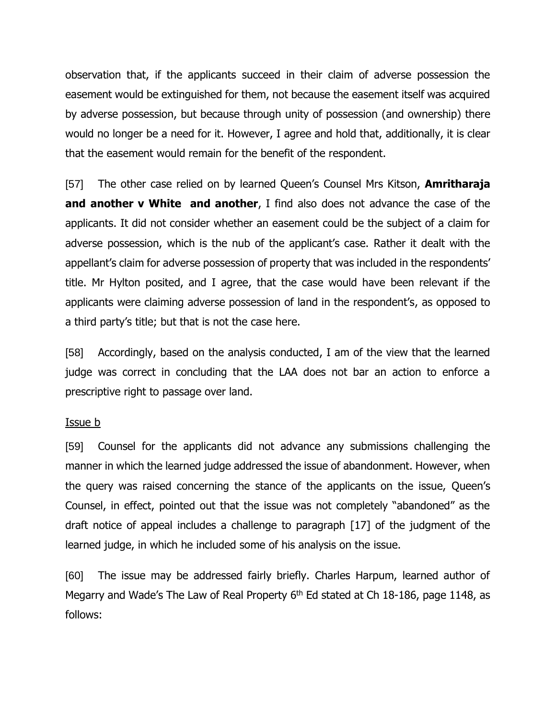observation that, if the applicants succeed in their claim of adverse possession the easement would be extinguished for them, not because the easement itself was acquired by adverse possession, but because through unity of possession (and ownership) there would no longer be a need for it. However, I agree and hold that, additionally, it is clear that the easement would remain for the benefit of the respondent.

[57] The other case relied on by learned Queen's Counsel Mrs Kitson, **Amritharaja and another v White and another**, I find also does not advance the case of the applicants. It did not consider whether an easement could be the subject of a claim for adverse possession, which is the nub of the applicant's case. Rather it dealt with the appellant's claim for adverse possession of property that was included in the respondents' title. Mr Hylton posited, and I agree, that the case would have been relevant if the applicants were claiming adverse possession of land in the respondent's, as opposed to a third party's title; but that is not the case here.

[58] Accordingly, based on the analysis conducted, I am of the view that the learned judge was correct in concluding that the LAA does not bar an action to enforce a prescriptive right to passage over land.

#### Issue b

[59] Counsel for the applicants did not advance any submissions challenging the manner in which the learned judge addressed the issue of abandonment. However, when the query was raised concerning the stance of the applicants on the issue, Queen's Counsel, in effect, pointed out that the issue was not completely "abandoned" as the draft notice of appeal includes a challenge to paragraph [17] of the judgment of the learned judge, in which he included some of his analysis on the issue.

[60] The issue may be addressed fairly briefly. Charles Harpum, learned author of Megarry and Wade's The Law of Real Property 6<sup>th</sup> Ed stated at Ch 18-186, page 1148, as follows: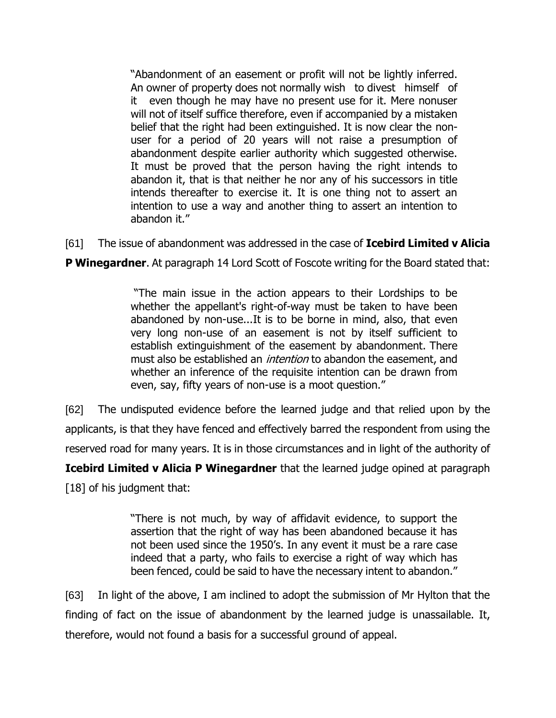"Abandonment of an easement or profit will not be lightly inferred. An owner of property does not normally wish to divest himself of it even though he may have no present use for it. Mere nonuser will not of itself suffice therefore, even if accompanied by a mistaken belief that the right had been extinguished. It is now clear the nonuser for a period of 20 years will not raise a presumption of abandonment despite earlier authority which suggested otherwise. It must be proved that the person having the right intends to abandon it, that is that neither he nor any of his successors in title intends thereafter to exercise it. It is one thing not to assert an intention to use a way and another thing to assert an intention to abandon it."

[61] The issue of abandonment was addressed in the case of **Icebird Limited v Alicia** 

**P Winegardner.** At paragraph 14 Lord Scott of Foscote writing for the Board stated that:

"The main issue in the action appears to their Lordships to be whether the appellant's right-of-way must be taken to have been abandoned by non-use...It is to be borne in mind, also, that even very long non-use of an easement is not by itself sufficient to establish extinguishment of the easement by abandonment. There must also be established an *intention* to abandon the easement, and whether an inference of the requisite intention can be drawn from even, say, fifty years of non-use is a moot question."

[62] The undisputed evidence before the learned judge and that relied upon by the applicants, is that they have fenced and effectively barred the respondent from using the reserved road for many years. It is in those circumstances and in light of the authority of

**Icebird Limited v Alicia P Winegardner** that the learned judge opined at paragraph [18] of his judgment that:

> "There is not much, by way of affidavit evidence, to support the assertion that the right of way has been abandoned because it has not been used since the 1950's. In any event it must be a rare case indeed that a party, who fails to exercise a right of way which has been fenced, could be said to have the necessary intent to abandon."

[63] In light of the above, I am inclined to adopt the submission of Mr Hylton that the finding of fact on the issue of abandonment by the learned judge is unassailable. It, therefore, would not found a basis for a successful ground of appeal.